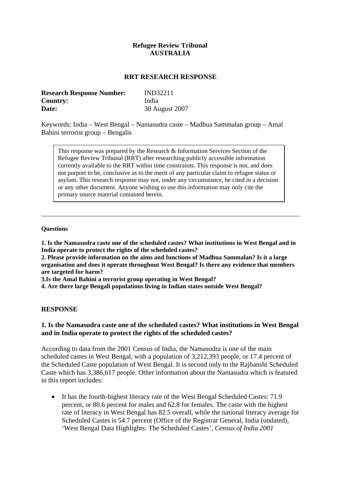## **Refugee Review Tribunal AUSTRALIA**

#### **RRT RESEARCH RESPONSE**

| <b>Research Response Number:</b> | <b>IND32211</b> |
|----------------------------------|-----------------|
| <b>Country:</b>                  | India           |
| Date:                            | 30 August 2007  |

Keywords: India – West Bengal – Namasudra caste – Madhua Sammalan group – Amal Bahini terrorist group – Bengalis

This response was prepared by the Research & Information Services Section of the Refugee Review Tribunal (RRT) after researching publicly accessible information currently available to the RRT within time constraints. This response is not, and does not purport to be, conclusive as to the merit of any particular claim to refugee status or asylum. This research response may not, under any circumstance, be cited in a decision or any other document. Anyone wishing to use this information may only cite the primary source material contained herein.

#### **Questions**

**1. Is the Namasudra caste one of the scheduled castes? What institutions in West Bengal and in India operate to protect the rights of the scheduled castes?** 

**2. Please provide information on the aims and functions of Madhua Sammalan? Is it a large organisation and does it operate throughout West Bengal? Is there any evidence that members are targeted for harm?** 

**3.Is the Amal Bahini a terrorist group operating in West Bengal?** 

**4. Are there large Bengali populations living in Indian states outside West Bengal?** 

#### **RESPONSE**

## **1. Is the Namasudra caste one of the scheduled castes? What institutions in West Bengal and in India operate to protect the rights of the scheduled castes?**

According to data from the 2001 Census of India, the Namasudra is one of the main scheduled castes in West Bengal, with a population of 3,212,393 people, or 17.4 percent of the Scheduled Caste population of West Bengal. It is second only to the Rajbanshi Scheduled Caste which has 3,386,617 people. Other information about the Namasudra which is featured in this report includes:

It has the fourth-highest literacy rate of the West Bengal Scheduled Castes: 71.9 percent, or 80.6 percent for males and 62.8 for females. The caste with the highest rate of literacy in West Bengal has 82.5 overall, while the national literacy average for Scheduled Castes is 54.7 percent (Office of the Registrar General, India (undated), 'West Bengal Data Highlights: The Scheduled Castes', *Census of India 2001*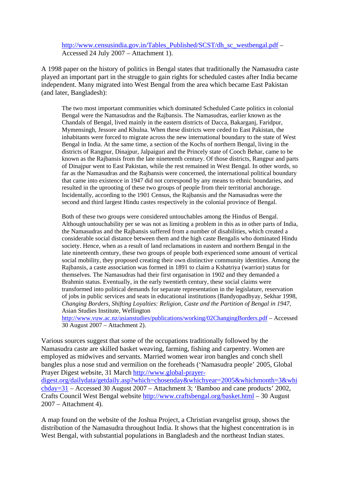## http://www.censusindia.gov.in/Tables\_Published/SCST/dh\_sc\_westbengal.pdf – Accessed 24 July 2007 – Attachment 1).

A 1998 paper on the history of politics in Bengal states that traditionally the Namasudra caste played an important part in the struggle to gain rights for scheduled castes after India became independent. Many migrated into West Bengal from the area which became East Pakistan (and later, Bangladesh):

The two most important communities which dominated Scheduled Caste politics in colonial Bengal were the Namasudras and the Rajbansis. The Namasudras, earlier known as the Chandals of Bengal, lived mainly in the eastern districts of Dacca, Bakarganj, Faridpur, Mymensingh, Jessore and Khulna. When these districts were ceded to East Pakistan, the inhabitants were forced to migrate across the new international boundary to the state of West Bengal in India. At the same time, a section of the Kochs of northern Bengal, living in the districts of Rangpur, Dinajpur, Jalpaiguri and the Princely state of Cooch Behar, came to be known as the Rajbansis from the late nineteenth century. Of those districts, Rangpur and parts of Dinajpur went to East Pakistan, while the rest remained in West Bengal. In other words, so far as the Namasudras and the Rajbansis were concerned, the international political boundary that came into existence in 1947 did not correspond by any means to ethnic boundaries, and resulted in the uprooting of these two groups of people from their territorial anchorage. Incidentally, according to the 1901 Census, the Rajbansis and the Namasudras were the second and third largest Hindu castes respectively in the colonial province of Bengal.

Both of these two groups were considered untouchables among the Hindus of Bengal. Although untouchability per se was not as limiting a problem in this as in other parts of India, the Namasudras and the Rajbansis suffered from a number of disabilities, which created a considerable social distance between them and the high caste Bengalis who dominated Hindu society. Hence, when as a result of land reclamations in eastern and northern Bengal in the late nineteenth century, these two groups of people both experienced some amount of vertical social mobility, they proposed creating their own distinctive community identities. Among the Rajbansis, a caste association was formed in 1891 to claim a Kshatriya (warrior) status for themselves. The Namasudras had their first organisation in 1902 and they demanded a Brahmin status. Eventually, in the early twentieth century, these social claims were transformed into political demands for separate representation in the legislature, reservation of jobs in public services and seats in educational institutions (Bandyopadhyay, Sekhar 1998, *Changing Borders, Shifting Loyalties: Religion, Caste and the Partition of Bengal in 1947,* Asian Studies Institute, Wellington

<http://www.vuw.ac.nz/asianstudies/publications/working/02ChangingBorders.pdf> – Accessed 30 August 2007 – Attachment 2).

Various sources suggest that some of the occupations traditionally followed by the Namasudra caste are skilled basket weaving, farming, fishing and carpentry. Women are employed as midwives and servants. Married women wear iron bangles and conch shell bangles plus a nose stud and vermilion on the foreheads ('Namasudra people' 2005, Global Prayer Digest website, 31 March [http://www.global-prayer](http://www.global-prayer-digest.org/dailydata/getdaily.asp?which=chosenday&whichyear=2005&whichmonth=3&whichday=31)[digest.org/dailydata/getdaily.asp?which=chosenday&whichyear=2005&whichmonth=3&whi](http://www.global-prayer-digest.org/dailydata/getdaily.asp?which=chosenday&whichyear=2005&whichmonth=3&whichday=31) [chday=31](http://www.global-prayer-digest.org/dailydata/getdaily.asp?which=chosenday&whichyear=2005&whichmonth=3&whichday=31) – Accessed 30 August 2007 – Attachment 3; 'Bamboo and cane products' 2002, Crafts Council West Bengal website <http://www.craftsbengal.org/basket.html>– 30 August 2007 – Attachment 4).

A map found on the website of the Joshua Project, a Christian evangelist group, shows the distribution of the Namasudra throughout India. It shows that the highest concentration is in West Bengal, with substantial populations in Bangladesh and the northeast Indian states.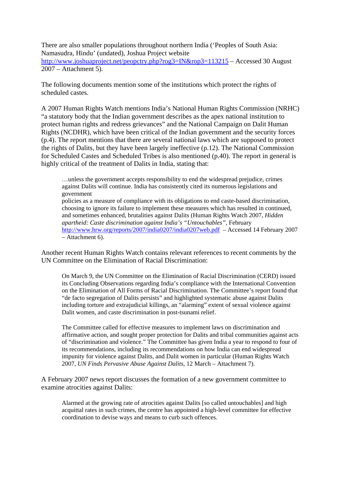There are also smaller populations throughout northern India ('Peoples of South Asia: Namasudra, Hindu' (undated), Joshua Project website

<http://www.joshuaproject.net/peopctry.php?rog3=IN&rop3=113215> – Accessed 30 August 2007 – Attachment 5).

The following documents mention some of the institutions which protect the rights of scheduled castes.

A 2007 Human Rights Watch mentions India's National Human Rights Commission (NRHC) "a statutory body that the Indian government describes as the apex national institution to protect human rights and redress grievances" and the National Campaign on Dalit Human Rights (NCDHR), which have been critical of the Indian government and the security forces (p.4). The report mentions that there are several national laws which are supposed to protect the rights of Dalits, but they have been largely ineffective (p.12). The National Commission for Scheduled Castes and Scheduled Tribes is also mentioned (p.40). The report in general is highly critical of the treatment of Dalits in India, stating that:

…unless the government accepts responsibility to end the widespread prejudice, crimes against Dalits will continue. India has consistently cited its numerous legislations and government

policies as a measure of compliance with its obligations to end caste-based discrimination, choosing to ignore its failure to implement these measures which has resulted in continued, and sometimes enhanced, brutalities against Dalits (Human Rights Watch 2007, *Hidden apartheid: Caste discrimination against India's "Untouchables"*, February <http://www.hrw.org/reports/2007/india0207/india0207web.pdf>– Accessed 14 February 2007 – Attachment 6).

Another recent Human Rights Watch contains relevant references to recent comments by the UN Committee on the Elimination of Racial Discrimination:

On March 9, the UN Committee on the Elimination of Racial Discrimination (CERD) issued its Concluding Observations regarding India's compliance with the International Convention on the Elimination of All Forms of Racial Discrimination. The Committee's report found that "de facto segregation of Dalits persists" and highlighted systematic abuse against Dalits including torture and extrajudicial killings, an "alarming" extent of sexual violence against Dalit women, and caste discrimination in post-tsunami relief.

The Committee called for effective measures to implement laws on discrimination and affirmative action, and sought proper protection for Dalits and tribal communities against acts of "discrimination and violence." The Committee has given India a year to respond to four of its recommendations, including its recommendations on how India can end widespread impunity for violence against Dalits, and Dalit women in particular (Human Rights Watch 2007, *UN Finds Pervasive Abuse Against Dalits*, 12 March – Attachment 7).

A February 2007 news report discusses the formation of a new government committee to examine atrocities against Dalits:

Alarmed at the growing rate of atrocities against Dalits [so called untouchables] and high acquittal rates in such crimes, the centre has appointed a high-level committee for effective coordination to devise ways and means to curb such offences.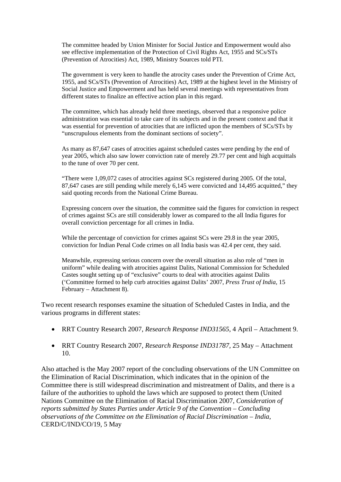The committee headed by Union Minister for Social Justice and Empowerment would also see effective implementation of the Protection of Civil Rights Act, 1955 and SCs/STs (Prevention of Atrocities) Act, 1989, Ministry Sources told PTI.

The government is very keen to handle the atrocity cases under the Prevention of Crime Act, 1955, and SCs/STs (Prevention of Atrocities) Act, 1989 at the highest level in the Ministry of Social Justice and Empowerment and has held several meetings with representatives from different states to finalize an effective action plan in this regard.

The committee, which has already held three meetings, observed that a responsive police administration was essential to take care of its subjects and in the present context and that it was essential for prevention of atrocities that are inflicted upon the members of SCs/STs by "unscrupulous elements from the dominant sections of society".

As many as 87,647 cases of atrocities against scheduled castes were pending by the end of year 2005, which also saw lower conviction rate of merely 29.77 per cent and high acquittals to the tune of over 70 per cent.

"There were 1,09,072 cases of atrocities against SCs registered during 2005. Of the total, 87,647 cases are still pending while merely 6,145 were convicted and 14,495 acquitted," they said quoting records from the National Crime Bureau.

Expressing concern over the situation, the committee said the figures for conviction in respect of crimes against SCs are still considerably lower as compared to the all India figures for overall conviction percentage for all crimes in India.

While the percentage of conviction for crimes against SCs were 29.8 in the year 2005, conviction for Indian Penal Code crimes on all India basis was 42.4 per cent, they said.

Meanwhile, expressing serious concern over the overall situation as also role of "men in uniform" while dealing with atrocities against Dalits, National Commission for Scheduled Castes sought setting up of "exclusive" courts to deal with atrocities against Dalits ('Committee formed to help curb atrocities against Dalits' 2007, *Press Trust of India,* 15 February – Attachment 8).

Two recent research responses examine the situation of Scheduled Castes in India, and the various programs in different states:

- RRT Country Research 2007, *Research Response IND31565,* 4 April Attachment 9.
- RRT Country Research 2007, *Research Response IND31787,* 25 May Attachment 10.

Also attached is the May 2007 report of the concluding observations of the UN Committee on the Elimination of Racial Discrimination, which indicates that in the opinion of the Committee there is still widespread discrimination and mistreatment of Dalits, and there is a failure of the authorities to uphold the laws which are supposed to protect them (United Nations Committee on the Elimination of Racial Discrimination 2007, *Consideration of reports submitted by States Parties under Article 9 of the Convention – Concluding observations of the Committee on the Elimination of Racial Discrimination – India*, CERD/C/IND/CO/19, 5 May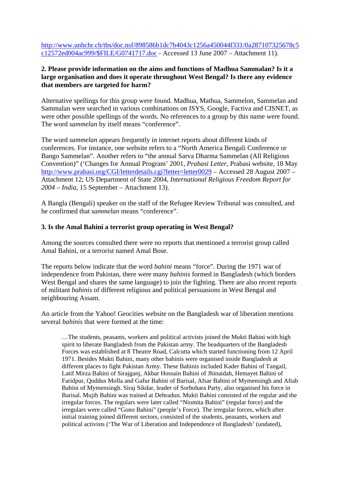[http://www.unhchr.ch/tbs/doc.nsf/898586b1dc7b4043c1256a450044f331/0a287107325678c5](http://www.unhchr.ch/tbs/doc.nsf/898586b1dc7b4043c1256a450044f331/0a287107325678c5c12572ed004ac999/$FILE/G0741717.doc) [c12572ed004ac999/\\$FILE/G0741717.doc](http://www.unhchr.ch/tbs/doc.nsf/898586b1dc7b4043c1256a450044f331/0a287107325678c5c12572ed004ac999/$FILE/G0741717.doc) - Accessed 13 June 2007 – Attachment 11).

## **2. Please provide information on the aims and functions of Madhua Sammalan? Is it a large organisation and does it operate throughout West Bengal? Is there any evidence that members are targeted for harm?**

Alternative spellings for this group were found. Madhua, Mathua, Sammelon, Sammelan and Sammalan were searched in various combinations on ISYS, Google, Factiva and CISNET, as were other possible spellings of the words. No references to a group by this name were found. The word *sammelan* by itself means "conference".

The word *sammelan* appears frequently in internet reports about different kinds of conferences. For instance, one website refers to a "North America Bengali Conference or Bango Sammelan". Another refers to "the annual Sarva Dharma Sammelan (All Religious Convention)" ('Changes for Annual Program' 2001, *Prabasi Letter,* Prabasi website, 18 May <http://www.prabasi.org/CGI/letterdetails.cgi?letter=letter0029>– Accessed 28 August 2007 – Attachment 12; US Department of State 2004, *International Religious Freedom Report for 2004 – India*, 15 September – Attachment 13).

A Bangla (Bengali) speaker on the staff of the Refugee Review Tribunal was consulted, and he confirmed that *sammelan* means "conference".

## **3. Is the Amal Bahini a terrorist group operating in West Bengal?**

Among the sources consulted there were no reports that mentioned a terrorist group called Amal Bahini, or a terrorist named Amal Bose.

The reports below indicate that the word *bahini* means "force". During the 1971 war of independence from Pakistan, there were many *bahinis* formed in Bangladesh (which borders West Bengal and shares the same language) to join the fighting. There are also recent reports of militant *bahinis* of different religious and political persuasions in West Bengal and neighbouring Assam.

An article from the Yahoo! Geocities website on the Bangladesh war of liberation mentions several *bahinis* that were formed at the time:

…The students, peasants, workers and political activists joined the Mukti Bahini with high spirit to liberate Bangladesh from the Pakistan army. The headquarters of the Bangladesh Forces was established at 8 Theatre Road, Calcutta which started functioning from 12 April 1971. Besides Mukti Bahini, many other bahinis were organised inside Bangladesh at different places to fight Pakistan Army. These Bahinis included Kader Bahini of Tangail, Latif Mirza Bahini of Sirajganj, Akbar Hossain Bahini of Jhinaidah, Hemayet Bahini of Faridpur, Quddus Molla and Gafur Bahini of Barisal, Afsar Bahini of Mymensingh and Aftab Bahini of Mymensingh. Siraj Sikdar, leader of Sorbohara Party, also organised his force in Barisal. Mujib Bahini was trained at Dehradun. Mukti Bahini consisted of the regular and the irregular forces. The regulars were later called "Niomita Bahini" (regular force) and the irregulars were called "Gono Bahini" (people's Force). The irregular forces, which after initial training joined different sectors, consisted of the students, peasants, workers and political activists ('The War of Liberation and Independence of Bangladesh' (undated),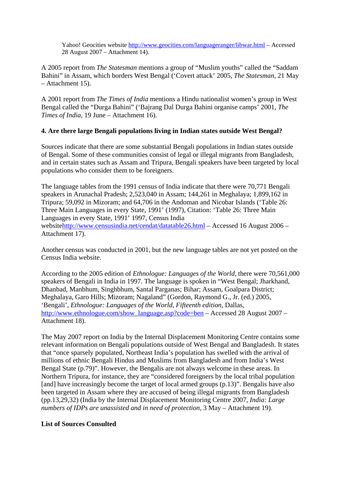Yahoo! Geocities website<http://www.geocities.com/languageranger/libwar.html>– Accessed 28 August 2007 – Attachment 14).

A 2005 report from *The Statesman* mentions a group of "Muslim youths" called the "Saddam Bahini" in Assam, which borders West Bengal ('Covert attack' 2005, *The Statesman,* 21 May – Attachment 15).

A 2001 report from *The Times of India* mentions a Hindu nationalist women's group in West Bengal called the "Durga Bahini" ('Bajrang Dal Durga Bahini organise camps' 2001, *The Times of India,* 19 June – Attachment 16).

## **4. Are there large Bengali populations living in Indian states outside West Bengal?**

Sources indicate that there are some substantial Bengali populations in Indian states outside of Bengal. Some of these communities consist of legal or illegal migrants from Bangladesh, and in certain states such as Assam and Tripura, Bengali speakers have been targeted by local populations who consider them to be foreigners.

The language tables from the 1991 census of India indicate that there were 70,771 Bengali speakers in Arunachal Pradesh; 2,523,040 in Assam; 144,261 in Meghalaya; 1,899,162 in Tripura; 59,092 in Mizoram; and 64,706 in the Andoman and Nicobar Islands ('Table 26: Three Main Languages in every State, 1991' (1997), Citation: 'Table 26: Three Main Languages in every State, 1991' 1997, Census India website<http://www.censusindia.net/cendat/datatable26.html> – Accessed 16 August 2006 – Attachment 17).

Another census was conducted in 2001, but the new language tables are not yet posted on the Census India website.

According to the 2005 edition of *Ethnologue: Languages of the World,* there were 70,561,000 speakers of Bengali in India in 1997. The language is spoken in "West Bengal; Jharkhand, Dhanbad, Manbhum, Singhbhum, Santal Parganas; Bihar; Assam, Goalpara District; Meghalaya, Garo Hills; Mizoram; Nagaland" (Gordon, Raymond G., Jr. (ed.) 2005, 'Bengali', *Ethnologue: Languages of the World, Fifteenth edition*, Dallas, [http://www.ethnologue.com/show\\_language.asp?code=ben](http://www.ethnologue.com/show_language.asp?code=ben) – Accessed 28 August 2007 – Attachment 18).

The May 2007 report on India by the Internal Displacement Monitoring Centre contains some relevant information on Bengali populations outside of West Bengal and Bangladesh. It states that "once sparsely populated, Northeast India's population has swelled with the arrival of millions of ethnic Bengali Hindus and Muslims from Bangladesh and from India's West Bengal State (p.79)". However, the Bengalis are not always welcome in these areas. In Northern Tripura, for instance, they are "considered foreigners by the local tribal population [and] have increasingly become the target of local armed groups (p.13)". Bengalis have also been targeted in Assam where they are accused of being illegal migrants from Bangladesh (pp.13,29,32) (India by the Internal Displacement Monitoring Centre 2007, *India: Large numbers of IDPs are unassisted and in need of protection,* 3 May – Attachment 19).

## **List of Sources Consulted**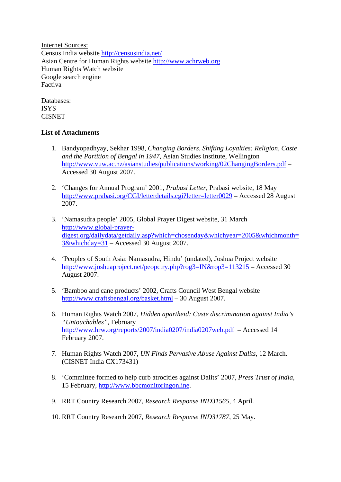Internet Sources: Census India website<http://censusindia.net/> Asian Centre for Human Rights website [http://www.achrweb.org](http://www.achrweb.org/)  Human Rights Watch website Google search engine Factiva

Databases: ISYS CISNET

# **List of Attachments**

- 1. Bandyopadhyay, Sekhar 1998, *Changing Borders, Shifting Loyalties: Religion, Caste and the Partition of Bengal in 1947,* Asian Studies Institute, Wellington <http://www.vuw.ac.nz/asianstudies/publications/working/02ChangingBorders.pdf>– Accessed 30 August 2007.
- 2. 'Changes for Annual Program' 2001, *Prabasi Letter,* Prabasi website, 18 May <http://www.prabasi.org/CGI/letterdetails.cgi?letter=letter0029>– Accessed 28 August 2007.
- 3. 'Namasudra people' 2005, Global Prayer Digest website, 31 March [http://www.global-prayer](http://www.global-prayer-digest.org/dailydata/getdaily.asp?which=chosenday&whichyear=2005&whichmonth=3&whichday=31)[digest.org/dailydata/getdaily.asp?which=chosenday&whichyear=2005&whichmonth=](http://www.global-prayer-digest.org/dailydata/getdaily.asp?which=chosenday&whichyear=2005&whichmonth=3&whichday=31) [3&whichday=31](http://www.global-prayer-digest.org/dailydata/getdaily.asp?which=chosenday&whichyear=2005&whichmonth=3&whichday=31) – Accessed 30 August 2007.
- 4. 'Peoples of South Asia: Namasudra, Hindu' (undated), Joshua Project website <http://www.joshuaproject.net/peopctry.php?rog3=IN&rop3=113215> – Accessed 30 August 2007.
- 5. 'Bamboo and cane products' 2002, Crafts Council West Bengal website <http://www.craftsbengal.org/basket.html> – 30 August 2007.
- 6. Human Rights Watch 2007, *Hidden apartheid: Caste discrimination against India's "Untouchables"*, February <http://www.hrw.org/reports/2007/india0207/india0207web.pdf>– Accessed 14 February 2007.
- 7. Human Rights Watch 2007, *UN Finds Pervasive Abuse Against Dalits*, 12 March. (CISNET India CX173431)
- 8. 'Committee formed to help curb atrocities against Dalits' 2007, *Press Trust of India,*  15 February, [http://www.bbcmonitoringonline.](http://www.bbcmonitoringonline/)
- 9. RRT Country Research 2007, *Research Response IND31565,* 4 April.
- 10. RRT Country Research 2007, *Research Response IND31787,* 25 May.